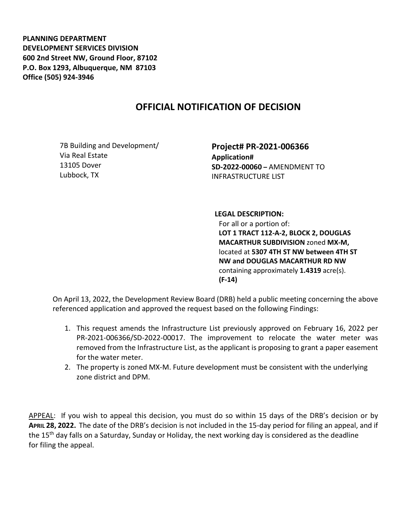**PLANNING DEPARTMENT DEVELOPMENT SERVICES DIVISION 600 2nd Street NW, Ground Floor, 87102 P.O. Box 1293, Albuquerque, NM 87103 Office (505) 924-3946** 

## **OFFICIAL NOTIFICATION OF DECISION**

7B Building and Development/ Via Real Estate 13105 Dover Lubbock, TX

**Project# PR-2021-006366 Application# SD-2022-00060 –** AMENDMENT TO INFRASTRUCTURE LIST

## **LEGAL DESCRIPTION:**

For all or a portion of: **LOT 1 TRACT 112-A-2, BLOCK 2, DOUGLAS MACARTHUR SUBDIVISION** zoned **MX-M,**  located at **5307 4TH ST NW between 4TH ST NW and DOUGLAS MACARTHUR RD NW**  containing approximately **1.4319** acre(s). **(F-14)**

On April 13, 2022, the Development Review Board (DRB) held a public meeting concerning the above referenced application and approved the request based on the following Findings:

- 1. This request amends the Infrastructure List previously approved on February 16, 2022 per PR-2021-006366/SD-2022-00017. The improvement to relocate the water meter was removed from the Infrastructure List, as the applicant is proposing to grant a paper easement for the water meter.
- 2. The property is zoned MX-M. Future development must be consistent with the underlying zone district and DPM.

APPEAL: If you wish to appeal this decision, you must do so within 15 days of the DRB's decision or by **APRIL 28, 2022.** The date of the DRB's decision is not included in the 15-day period for filing an appeal, and if the 15<sup>th</sup> day falls on a Saturday, Sunday or Holiday, the next working day is considered as the deadline for filing the appeal.